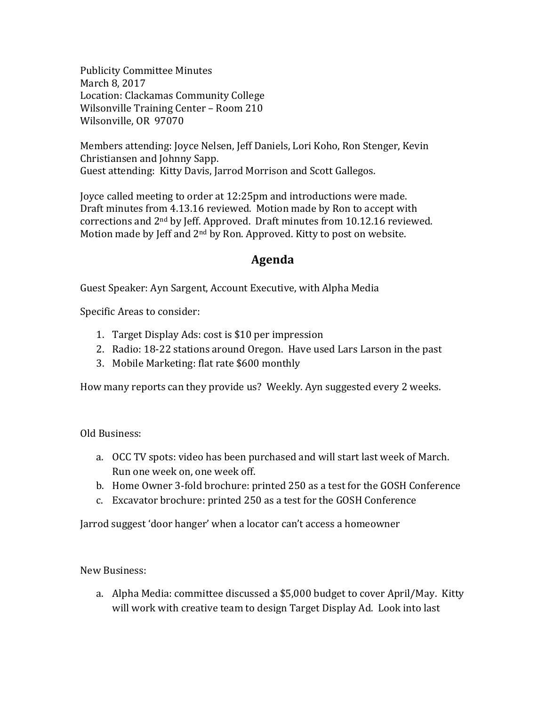**Publicity Committee Minutes** March 8, 2017 Location: Clackamas Community College Wilsonville Training Center - Room 210 Wilsonville, OR 97070

Members attending: Joyce Nelsen, Jeff Daniels, Lori Koho, Ron Stenger, Kevin Christiansen and Johnny Sapp. Guest attending: Kitty Davis, Jarrod Morrison and Scott Gallegos.

Joyce called meeting to order at 12:25pm and introductions were made. Draft minutes from 4.13.16 reviewed. Motion made by Ron to accept with corrections and  $2<sup>nd</sup>$  by Jeff. Approved. Draft minutes from 10.12.16 reviewed. Motion made by Jeff and  $2<sup>nd</sup>$  by Ron. Approved. Kitty to post on website.

## **Agenda**

Guest Speaker: Ayn Sargent, Account Executive, with Alpha Media

Specific Areas to consider:

- 1. Target Display Ads: cost is \$10 per impression
- 2. Radio: 18-22 stations around Oregon. Have used Lars Larson in the past
- 3. Mobile Marketing: flat rate \$600 monthly

How many reports can they provide us? Weekly. Ayn suggested every 2 weeks.

Old Business:

- a. OCC TV spots: video has been purchased and will start last week of March. Run one week on, one week off.
- b. Home Owner 3-fold brochure: printed 250 as a test for the GOSH Conference
- c. Excavator brochure: printed 250 as a test for the GOSH Conference

Jarrod suggest 'door hanger' when a locator can't access a homeowner

New Business:

a. Alpha Media: committee discussed a \$5,000 budget to cover April/May. Kitty will work with creative team to design Target Display Ad. Look into last